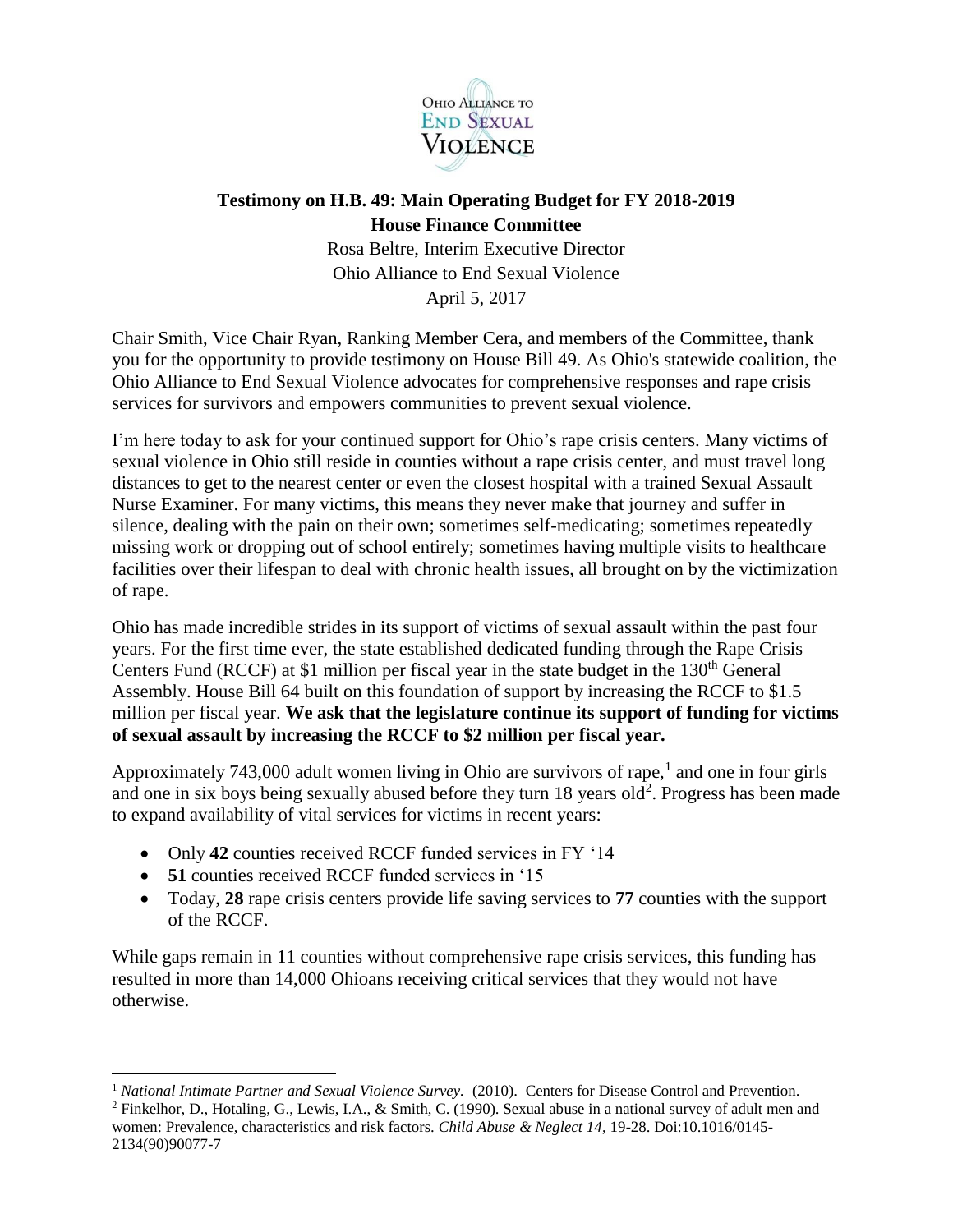

## **Testimony on H.B. 49: Main Operating Budget for FY 2018-2019 House Finance Committee**

Rosa Beltre, Interim Executive Director Ohio Alliance to End Sexual Violence April 5, 2017

Chair Smith, Vice Chair Ryan, Ranking Member Cera, and members of the Committee, thank you for the opportunity to provide testimony on House Bill 49. As Ohio's statewide coalition, the Ohio Alliance to End Sexual Violence advocates for comprehensive responses and rape crisis services for survivors and empowers communities to prevent sexual violence.

I'm here today to ask for your continued support for Ohio's rape crisis centers. Many victims of sexual violence in Ohio still reside in counties without a rape crisis center, and must travel long distances to get to the nearest center or even the closest hospital with a trained Sexual Assault Nurse Examiner. For many victims, this means they never make that journey and suffer in silence, dealing with the pain on their own; sometimes self-medicating; sometimes repeatedly missing work or dropping out of school entirely; sometimes having multiple visits to healthcare facilities over their lifespan to deal with chronic health issues, all brought on by the victimization of rape.

Ohio has made incredible strides in its support of victims of sexual assault within the past four years. For the first time ever, the state established dedicated funding through the Rape Crisis Centers Fund (RCCF) at \$1 million per fiscal year in the state budget in the  $130<sup>th</sup>$  General Assembly. House Bill 64 built on this foundation of support by increasing the RCCF to \$1.5 million per fiscal year. **We ask that the legislature continue its support of funding for victims of sexual assault by increasing the RCCF to \$2 million per fiscal year.**

Approximately 743,000 adult women living in Ohio are survivors of rape,<sup>1</sup> and one in four girls and one in six boys being sexually abused before they turn  $18$  years old<sup>2</sup>. Progress has been made to expand availability of vital services for victims in recent years:

- Only 42 counties received RCCF funded services in FY '14
- **51** counties received RCCF funded services in '15

l

 Today, **28** rape crisis centers provide life saving services to **77** counties with the support of the RCCF.

While gaps remain in 11 counties without comprehensive rape crisis services, this funding has resulted in more than 14,000 Ohioans receiving critical services that they would not have otherwise.

<sup>&</sup>lt;sup>1</sup> *National Intimate Partner and Sexual Violence Survey.* (2010). Centers for Disease Control and Prevention.

<sup>&</sup>lt;sup>2</sup> Finkelhor, D., Hotaling, G., Lewis, I.A., & Smith, C. (1990). Sexual abuse in a national survey of adult men and women: Prevalence, characteristics and risk factors. *Child Abuse & Neglect 14*, 19-28. Doi:10.1016/0145- 2134(90)90077-7